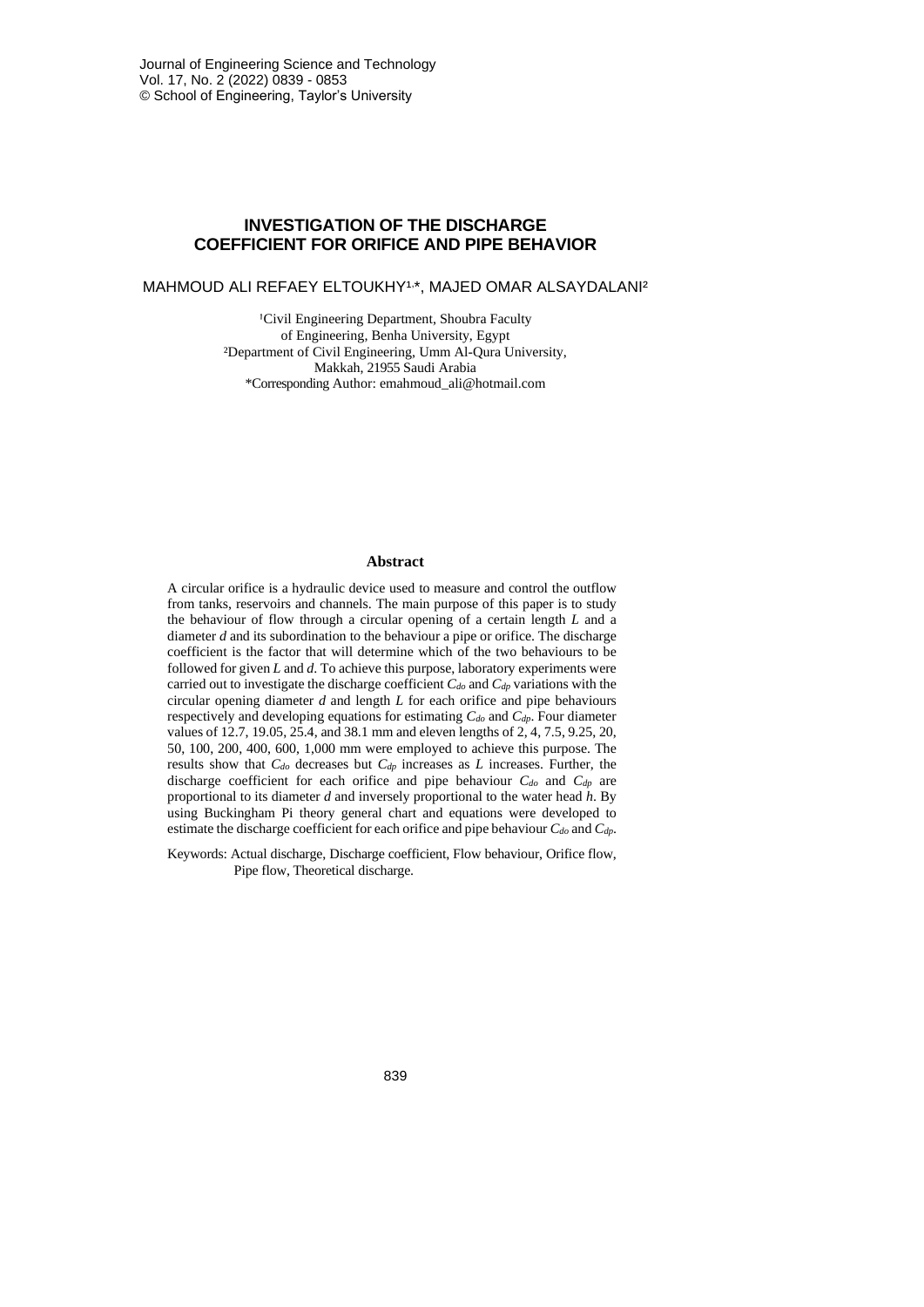# **INVESTIGATION OF THE DISCHARGE COEFFICIENT FOR ORIFICE AND PIPE BEHAVIOR**

MAHMOUD ALI REFAEY ELTOUKHY1,\*, MAJED OMAR ALSAYDALANI?

<sup>1</sup>Civil Engineering Department, Shoubra Faculty of Engineering, Benha University, Egypt ²Department of Civil Engineering, Umm Al-Qura University, Makkah, 21955 Saudi Arabia \*Corresponding Author: emahmoud\_ali@hotmail.com

#### **Abstract**

A circular orifice is a hydraulic device used to measure and control the outflow from tanks, reservoirs and channels. The main purpose of this paper is to study the behaviour of flow through a circular opening of a certain length *L* and a diameter *d* and its subordination to the behaviour a pipe or orifice. The discharge coefficient is the factor that will determine which of the two behaviours to be followed for given *L* and *d*. To achieve this purpose, laboratory experiments were carried out to investigate the discharge coefficient *Cdo* and *Cdp* variations with the circular opening diameter *d* and length *L* for each orifice and pipe behaviours respectively and developing equations for estimating *Cdo* and *Cdp*. Four diameter values of 12.7, 19.05, 25.4, and 38.1 mm and eleven lengths of 2, 4, 7.5, 9.25, 20, 50, 100, 200, 400, 600, 1,000 mm were employed to achieve this purpose. The results show that *Cdo* decreases but *Cdp* increases as *L* increases. Further, the discharge coefficient for each orifice and pipe behaviour *Cdo* and *Cdp* are proportional to its diameter *d* and inversely proportional to the water head *h*. By using Buckingham Pi theory general chart and equations were developed to estimate the discharge coefficient for each orifice and pipe behaviour *Cdo* and *Cdp*.

Keywords: Actual discharge, Discharge coefficient, Flow behaviour, Orifice flow, Pipe flow, Theoretical discharge.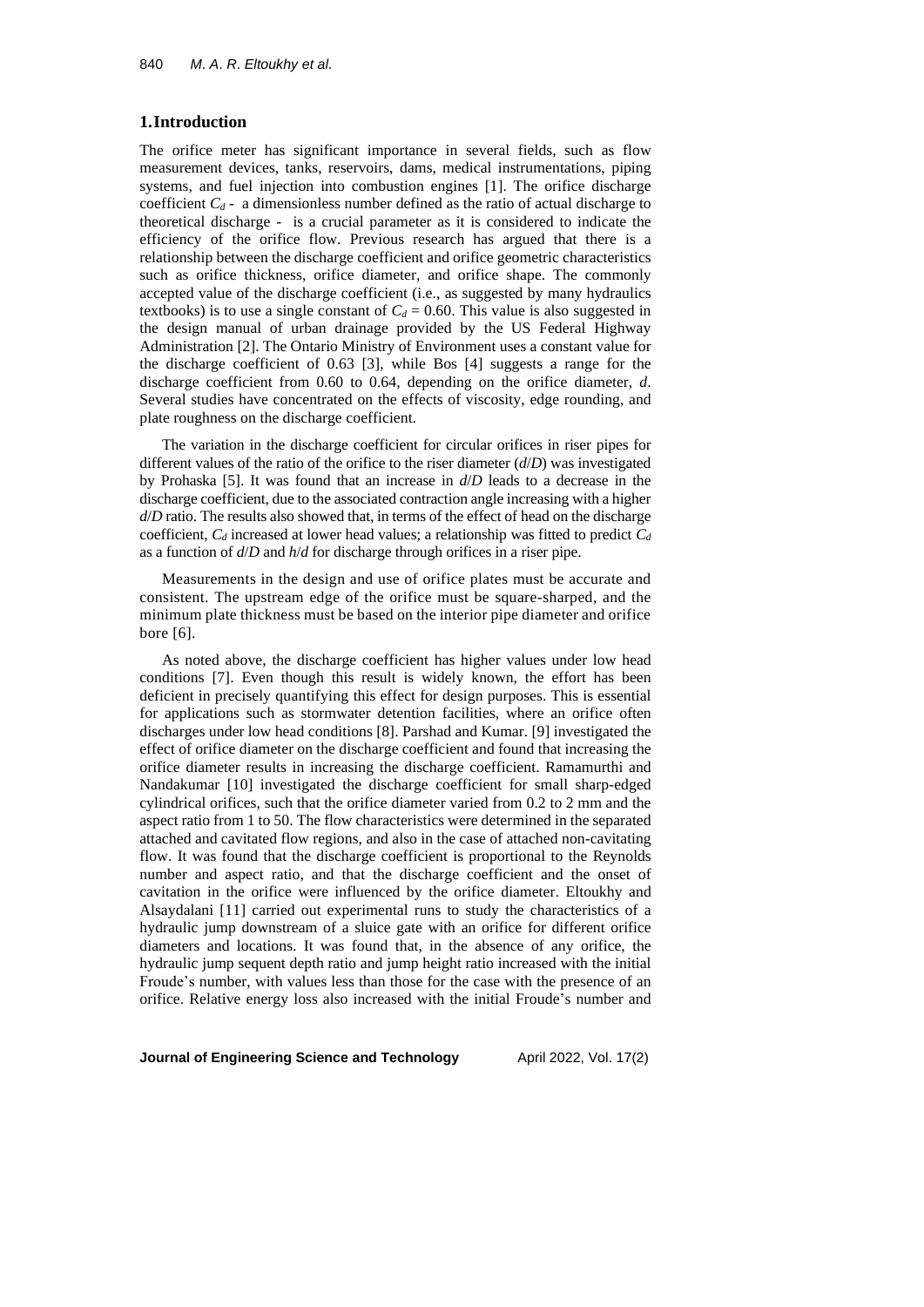## **1.Introduction**

The orifice meter has significant importance in several fields, such as flow measurement devices, tanks, reservoirs, dams, medical instrumentations, piping systems, and fuel injection into combustion engines [1]. The orifice discharge coefficient  $C_d$  - a dimensionless number defined as the ratio of actual discharge to theoretical discharge - is a crucial parameter as it is considered to indicate the efficiency of the orifice flow. Previous research has argued that there is a relationship between the discharge coefficient and orifice geometric characteristics such as orifice thickness, orifice diameter, and orifice shape. The commonly accepted value of the discharge coefficient (i.e., as suggested by many hydraulics textbooks) is to use a single constant of  $C_d = 0.60$ . This value is also suggested in the design manual of urban drainage provided by the US Federal Highway Administration [2]. The Ontario Ministry of Environment uses a constant value for the discharge coefficient of 0.63 [3], while Bos [4] suggests a range for the discharge coefficient from 0.60 to 0.64, depending on the orifice diameter, *d*. Several studies have concentrated on the effects of viscosity, edge rounding, and plate roughness on the discharge coefficient.

The variation in the discharge coefficient for circular orifices in riser pipes for different values of the ratio of the orifice to the riser diameter (*d*/*D*) was investigated by Prohaska [5]. It was found that an increase in *d*/*D* leads to a decrease in the discharge coefficient, due to the associated contraction angle increasing with a higher *d*/*D* ratio. The results also showed that, in terms of the effect of head on the discharge coefficient, *C<sup>d</sup>* increased at lower head values; a relationship was fitted to predict *C<sup>d</sup>* as a function of *d*/*D* and *h*/*d* for discharge through orifices in a riser pipe.

Measurements in the design and use of orifice plates must be accurate and consistent. The upstream edge of the orifice must be square-sharped, and the minimum plate thickness must be based on the interior pipe diameter and orifice bore [6].

As noted above, the discharge coefficient has higher values under low head conditions [7]. Even though this result is widely known, the effort has been deficient in precisely quantifying this effect for design purposes. This is essential for applications such as stormwater detention facilities, where an orifice often discharges under low head conditions [8]. Parshad and Kumar. [9] investigated the effect of orifice diameter on the discharge coefficient and found that increasing the orifice diameter results in increasing the discharge coefficient. Ramamurthi and Nandakumar [10] investigated the discharge coefficient for small sharp-edged cylindrical orifices, such that the orifice diameter varied from 0.2 to 2 mm and the aspect ratio from 1 to 50. The flow characteristics were determined in the separated attached and cavitated flow regions, and also in the case of attached non-cavitating flow. It was found that the discharge coefficient is proportional to the Reynolds number and aspect ratio, and that the discharge coefficient and the onset of cavitation in the orifice were influenced by the orifice diameter. Eltoukhy and Alsaydalani [11] carried out experimental runs to study the characteristics of a hydraulic jump downstream of a sluice gate with an orifice for different orifice diameters and locations. It was found that, in the absence of any orifice, the hydraulic jump sequent depth ratio and jump height ratio increased with the initial Froude's number, with values less than those for the case with the presence of an orifice. Relative energy loss also increased with the initial Froude's number and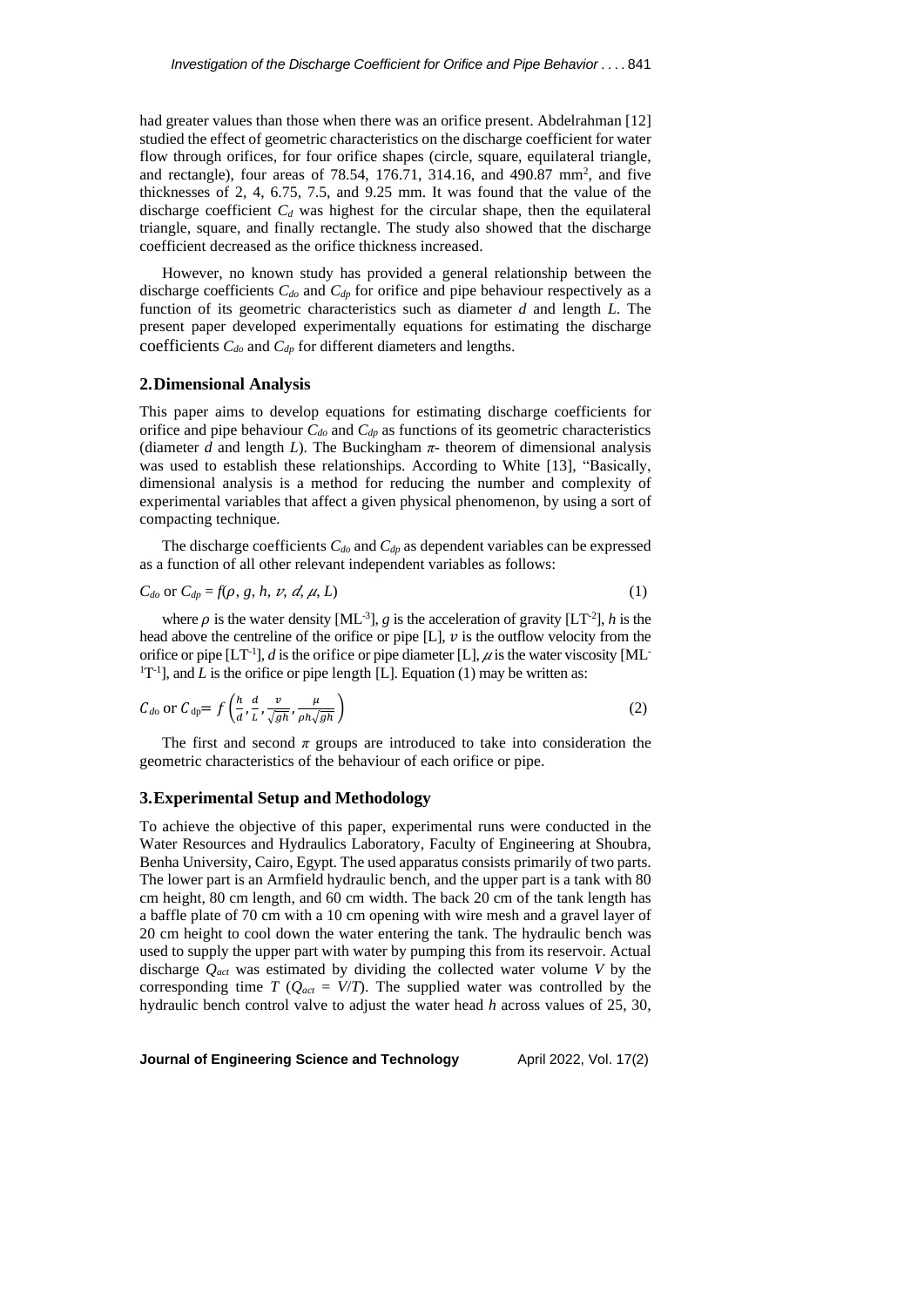had greater values than those when there was an orifice present. Abdelrahman [12] studied the effect of geometric characteristics on the discharge coefficient for water flow through orifices, for four orifice shapes (circle, square, equilateral triangle, and rectangle), four areas of 78.54, 176.71, 314.16, and 490.87 mm<sup>2</sup>, and five thicknesses of 2, 4, 6.75, 7.5, and 9.25 mm. It was found that the value of the discharge coefficient  $C_d$  was highest for the circular shape, then the equilateral triangle, square, and finally rectangle. The study also showed that the discharge coefficient decreased as the orifice thickness increased.

However, no known study has provided a general relationship between the discharge coefficients *Cdo* and *Cdp* for orifice and pipe behaviour respectively as a function of its geometric characteristics such as diameter *d* and length *L*. The present paper developed experimentally equations for estimating the discharge coefficients *Cdo* and *Cdp* for different diameters and lengths.

## **2.Dimensional Analysis**

This paper aims to develop equations for estimating discharge coefficients for orifice and pipe behaviour *Cdo* and *Cdp* as functions of its geometric characteristics (diameter *d* and length *L*). The Buckingham  $\pi$ - theorem of dimensional analysis was used to establish these relationships. According to White [13], "Basically, dimensional analysis is a method for reducing the number and complexity of experimental variables that affect a given physical phenomenon, by using a sort of compacting technique.

The discharge coefficients *Cdo* and *Cdp* as dependent variables can be expressed as a function of all other relevant independent variables as follows:

$$
C_{do} \text{ or } C_{dp} = f(\rho, g, h, v, d, \mu, L) \tag{1}
$$

where  $\rho$  is the water density [ML<sup>-3</sup>], *g* is the acceleration of gravity [LT<sup>-2</sup>], *h* is the head above the centreline of the orifice or pipe  $[L]$ ,  $\nu$  is the outflow velocity from the orifice or pipe  $[LT^{-1}]$ , *d* is the orifice or pipe diameter [L],  $\mu$  is the water viscosity [ML- ${}^{1}T^{-1}$ ], and *L* is the orifice or pipe length [L]. Equation (1) may be written as:

$$
C_{d0} \text{ or } C_{dp} = f\left(\frac{h}{a}, \frac{d}{L}, \frac{v}{\sqrt{gh}}, \frac{\mu}{\rho h \sqrt{gh}}\right) \tag{2}
$$

The first and second  $\pi$  groups are introduced to take into consideration the geometric characteristics of the behaviour of each orifice or pipe.

#### **3.Experimental Setup and Methodology**

To achieve the objective of this paper, experimental runs were conducted in the Water Resources and Hydraulics Laboratory, Faculty of Engineering at Shoubra, Benha University, Cairo, Egypt. The used apparatus consists primarily of two parts. The lower part is an Armfield hydraulic bench, and the upper part is a tank with 80 cm height, 80 cm length, and 60 cm width. The back 20 cm of the tank length has a baffle plate of 70 cm with a 10 cm opening with wire mesh and a gravel layer of 20 cm height to cool down the water entering the tank. The hydraulic bench was used to supply the upper part with water by pumping this from its reservoir. Actual discharge *Qact* was estimated by dividing the collected water volume *V* by the corresponding time *T* ( $Q_{act} = V/T$ ). The supplied water was controlled by the hydraulic bench control valve to adjust the water head *h* across values of 25, 30,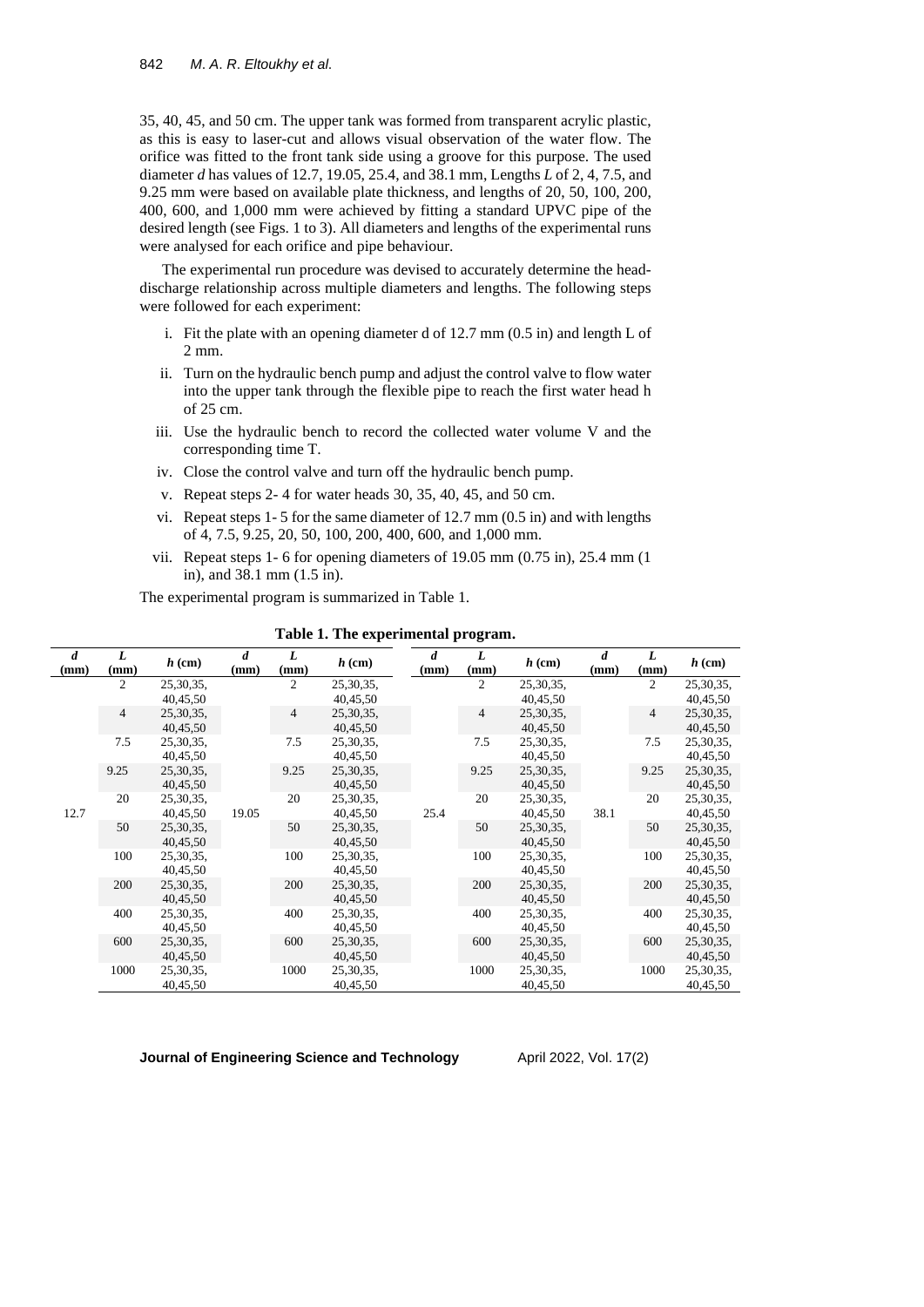35, 40, 45, and 50 cm. The upper tank was formed from transparent acrylic plastic, as this is easy to laser-cut and allows visual observation of the water flow. The orifice was fitted to the front tank side using a groove for this purpose. The used diameter *d* has values of 12.7, 19.05, 25.4, and 38.1 mm, Lengths *L* of 2, 4, 7.5, and 9.25 mm were based on available plate thickness, and lengths of 20, 50, 100, 200, 400, 600, and 1,000 mm were achieved by fitting a standard UPVC pipe of the desired length (see Figs. 1 to 3). All diameters and lengths of the experimental runs were analysed for each orifice and pipe behaviour.

The experimental run procedure was devised to accurately determine the headdischarge relationship across multiple diameters and lengths. The following steps were followed for each experiment:

- i. Fit the plate with an opening diameter d of 12.7 mm (0.5 in) and length L of 2 mm.
- ii. Turn on the hydraulic bench pump and adjust the control valve to flow water into the upper tank through the flexible pipe to reach the first water head h of 25 cm.
- iii. Use the hydraulic bench to record the collected water volume V and the corresponding time T.
- iv. Close the control valve and turn off the hydraulic bench pump.
- v. Repeat steps 2- 4 for water heads 30, 35, 40, 45, and 50 cm.
- vi. Repeat steps 1- 5 for the same diameter of 12.7 mm (0.5 in) and with lengths of 4, 7.5, 9.25, 20, 50, 100, 200, 400, 600, and 1,000 mm.
- vii. Repeat steps 1- 6 for opening diameters of 19.05 mm (0.75 in), 25.4 mm (1 in), and 38.1 mm (1.5 in).

The experimental program is summarized in Table 1.

| $\boldsymbol{d}$ | L              | $h$ (cm)    | $\boldsymbol{d}$<br>(mm) | L<br>(mm)      | $h$ (cm)    | $\boldsymbol{d}$ | L<br>(mm)      | $h$ (cm)    | $\boldsymbol{d}$<br>(mm) | L              | $h$ (cm)    |
|------------------|----------------|-------------|--------------------------|----------------|-------------|------------------|----------------|-------------|--------------------------|----------------|-------------|
| (mm)             | (mm)           |             |                          |                |             | (mm)             |                |             |                          | (mm)           |             |
| 12.7             | 2              | 25, 30, 35, | 19.05                    | $\overline{c}$ | 25,30,35,   |                  | $\overline{c}$ | 25, 30, 35, |                          | $\overline{2}$ | 25, 30, 35, |
|                  |                | 40,45,50    |                          |                | 40,45,50    |                  |                | 40,45,50    |                          |                | 40,45,50    |
|                  | $\overline{4}$ | 25, 30, 35, |                          | 4              | 25,30,35,   |                  | $\overline{4}$ | 25, 30, 35, |                          | $\overline{4}$ | 25, 30, 35, |
|                  |                | 40,45,50    |                          |                | 40,45,50    |                  |                | 40,45,50    |                          |                | 40,45,50    |
|                  | 7.5            | 25, 30, 35, |                          | 7.5            | 25,30,35,   |                  | 7.5            | 25, 30, 35, |                          | 7.5            | 25,30,35,   |
|                  |                | 40,45,50    |                          |                | 40,45,50    |                  |                | 40,45,50    |                          |                | 40,45,50    |
|                  | 9.25           | 25,30,35,   |                          | 9.25           | 25,30,35,   |                  | 9.25           | 25, 30, 35, |                          | 9.25           | 25, 30, 35, |
|                  |                | 40,45,50    |                          |                | 40,45,50    |                  |                | 40,45,50    |                          |                | 40,45,50    |
|                  | 20             | 25, 30, 35, |                          | 20             | 25,30,35,   |                  | 20             | 25, 30, 35, | 38.1                     | 20             | 25, 30, 35, |
|                  |                | 40,45,50    |                          |                | 40,45,50    | 25.4             |                | 40,45,50    |                          |                | 40,45,50    |
|                  | 50             | 25,30,35,   |                          | 50             | 25,30,35,   |                  | 50             | 25,30,35,   |                          | 50             | 25,30,35,   |
|                  |                | 40,45,50    |                          |                | 40,45,50    |                  |                | 40,45,50    |                          |                | 40,45,50    |
|                  | 100            | 25,30,35,   |                          | 100            | 25,30,35,   |                  | 100            | 25,30,35,   |                          | 100            | 25, 30, 35, |
|                  |                | 40,45,50    |                          |                | 40,45,50    |                  |                | 40,45,50    |                          |                | 40,45,50    |
|                  | 200            | 25, 30, 35, |                          | 200            | 25,30,35,   |                  | 200            | 25, 30, 35, |                          | 200            | 25,30,35,   |
|                  |                | 40,45,50    |                          |                | 40,45,50    |                  |                | 40,45,50    |                          |                | 40,45,50    |
|                  | 400            | 25, 30, 35, |                          | 400            | 25,30,35,   |                  | 400            | 25, 30, 35, |                          | 400            | 25,30,35,   |
|                  |                | 40,45,50    |                          |                | 40,45,50    |                  |                | 40,45,50    |                          |                | 40,45,50    |
|                  | 600            | 25, 30, 35, |                          | 600            | 25, 30, 35, |                  | 600            | 25, 30, 35, |                          | 600            | 25, 30, 35, |
|                  |                | 40,45,50    |                          |                | 40,45,50    |                  |                | 40,45,50    |                          |                | 40,45,50    |
|                  | 1000           | 25, 30, 35, |                          | 1000           | 25,30,35,   |                  | 1000           | 25, 30, 35, |                          | 1000           | 25, 30, 35, |
|                  |                | 40,45,50    |                          |                | 40,45,50    |                  |                | 40,45,50    |                          |                | 40,45,50    |

**Table 1. The experimental program.**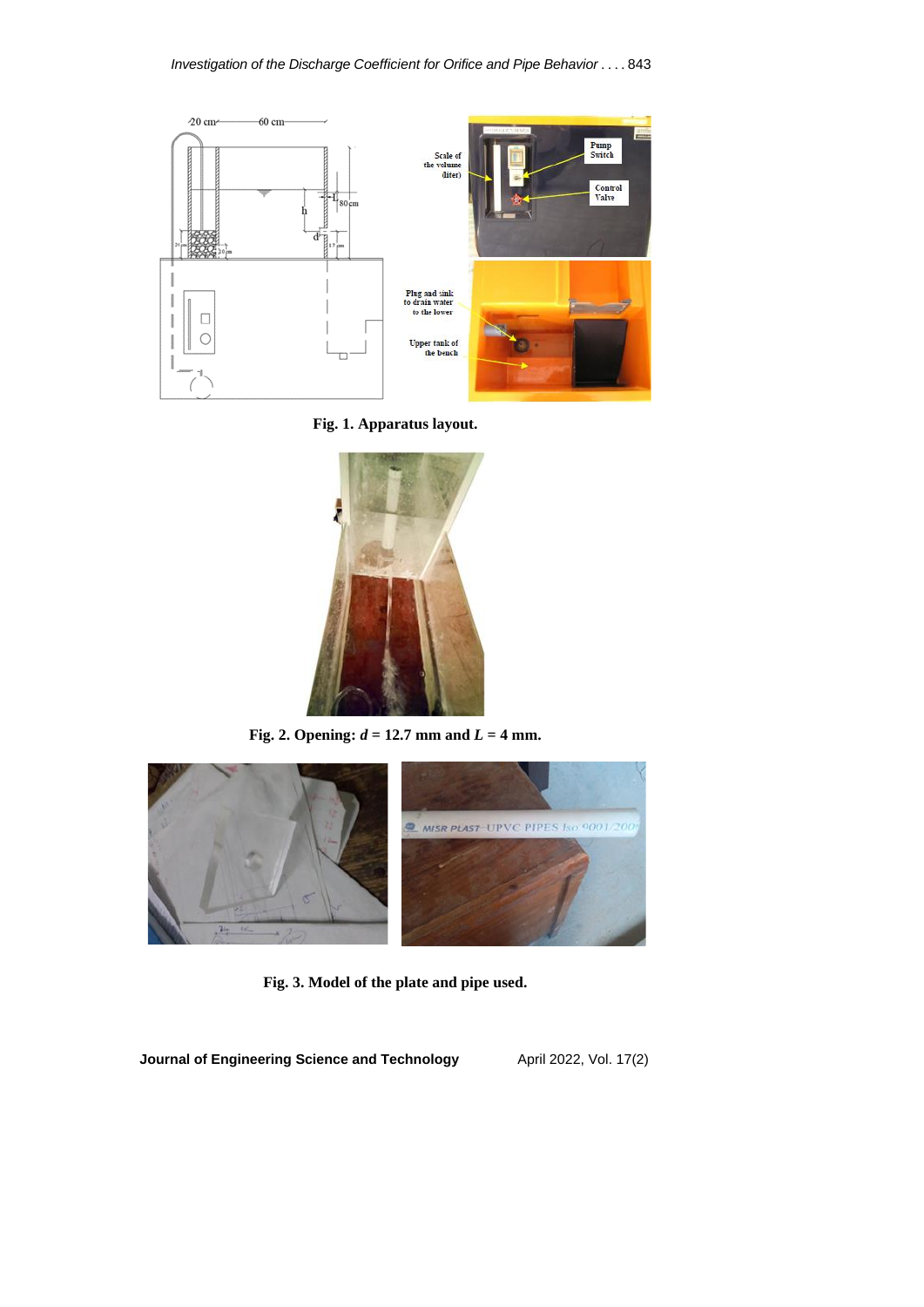

**Fig. 1. Apparatus layout.**



**Fig. 2. Opening:** *d* **= 12.7 mm and** *L* **= 4 mm.**



**Fig. 3. Model of the plate and pipe used.**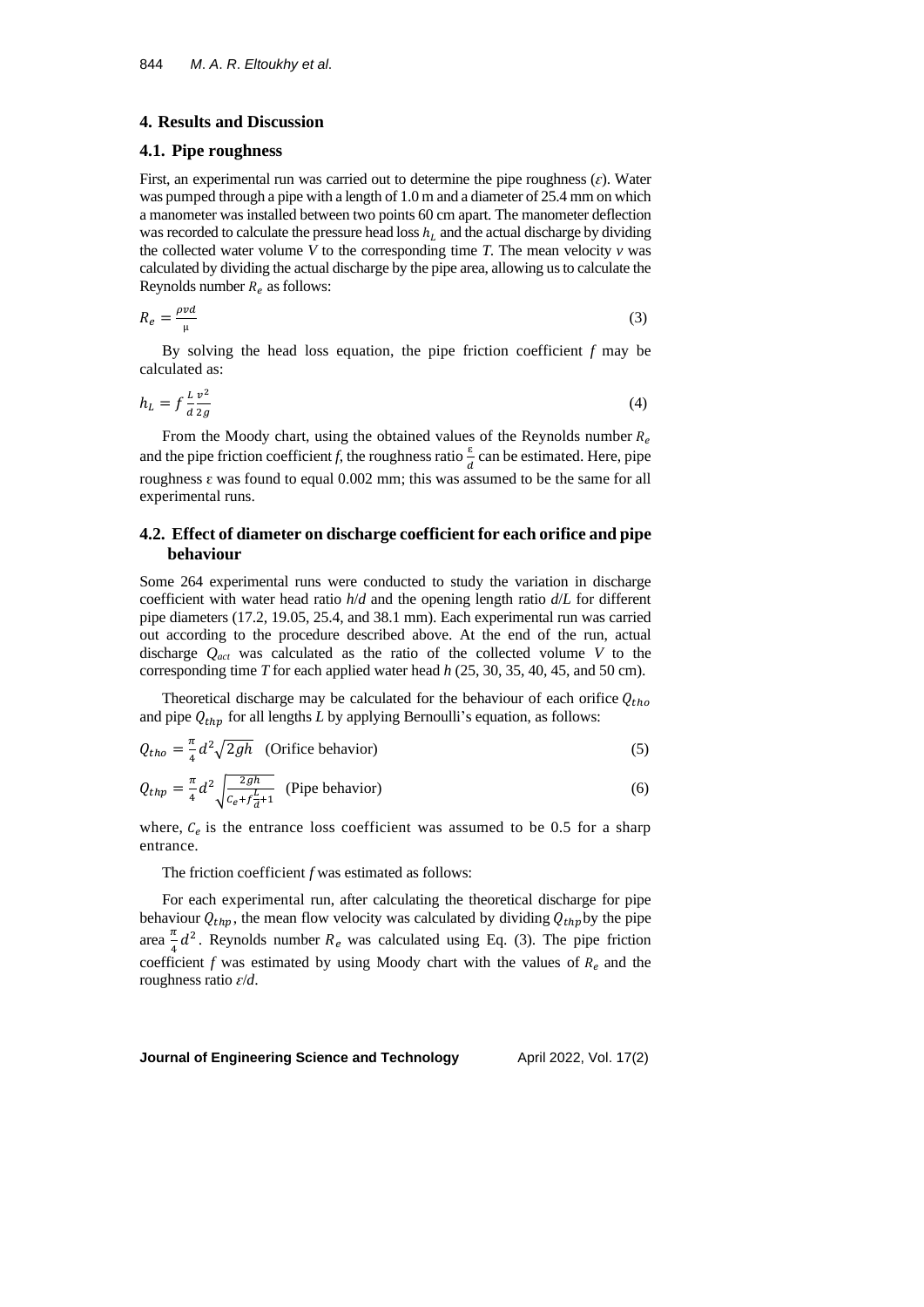### **4. Results and Discussion**

#### **4.1. Pipe roughness**

First, an experimental run was carried out to determine the pipe roughness  $(\varepsilon)$ . Water was pumped through a pipe with a length of 1.0 m and a diameter of 25.4 mm on which a manometer was installed between two points 60 cm apart. The manometer deflection was recorded to calculate the pressure head loss  $h_L$  and the actual discharge by dividing the collected water volume  $V$  to the corresponding time  $T$ . The mean velocity  $v$  was calculated by dividing the actual discharge by the pipe area, allowing usto calculate the Reynolds number  $R_e$  as follows:

$$
R_e = \frac{\rho v d}{\mu} \tag{3}
$$

By solving the head loss equation, the pipe friction coefficient *f* may be calculated as:

$$
h_L = f \frac{L v^2}{d z g} \tag{4}
$$

From the Moody chart, using the obtained values of the Reynolds number  $R_e$ and the pipe friction coefficient *f*, the roughness ratio  $\frac{\epsilon}{d}$  can be estimated. Here, pipe roughness  $\varepsilon$  was found to equal 0.002 mm; this was assumed to be the same for all experimental runs.

## **4.2. Effect of diameter on discharge coefficient for each orifice and pipe behaviour**

Some 264 experimental runs were conducted to study the variation in discharge coefficient with water head ratio *h*/*d* and the opening length ratio *d*/*L* for different pipe diameters (17.2, 19.05, 25.4, and 38.1 mm). Each experimental run was carried out according to the procedure described above. At the end of the run, actual discharge *Qact* was calculated as the ratio of the collected volume *V* to the corresponding time *T* for each applied water head *h* (25, 30, 35, 40, 45, and 50 cm).

Theoretical discharge may be calculated for the behaviour of each orifice  $Q_{tho}$ and pipe  $Q_{thp}$  for all lengths *L* by applying Bernoulli's equation, as follows:

$$
Q_{tho} = \frac{\pi}{4} d^2 \sqrt{2gh} \quad \text{(Oritice behavior)}\tag{5}
$$

$$
Q_{thp} = \frac{\pi}{4} d^2 \sqrt{\frac{2gh}{c_e + f \frac{L}{d} + 1}}
$$
 (Pipe behavior) (6)

where,  $C_e$  is the entrance loss coefficient was assumed to be 0.5 for a sharp entrance.

The friction coefficient *f* was estimated as follows:

For each experimental run, after calculating the theoretical discharge for pipe behaviour  $Q_{thp}$ , the mean flow velocity was calculated by dividing  $Q_{thp}$  by the pipe area  $\frac{\pi}{4}$  $\frac{\pi}{4}d^2$ . Reynolds number  $R_e$  was calculated using Eq. (3). The pipe friction coefficient  $f$  was estimated by using Moody chart with the values of  $R_e$  and the roughness ratio *ԑ*/*d*.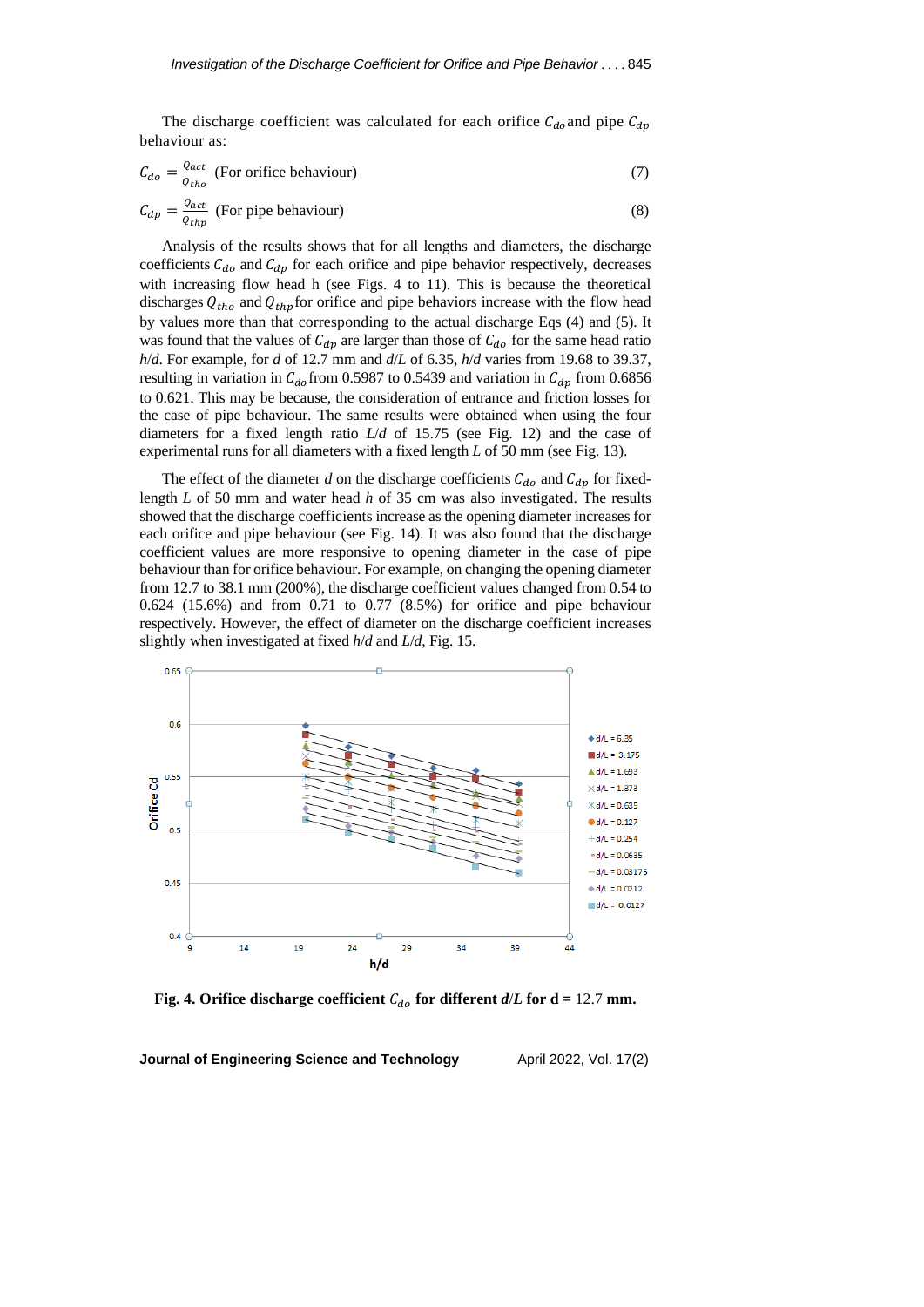The discharge coefficient was calculated for each orifice  $C_{do}$  and pipe  $C_{dp}$ behaviour as:

$$
C_{do} = \frac{Q_{act}}{Q_{tho}}
$$
 (For orifice behaviour) (7)

$$
C_{dp} = \frac{Q_{act}}{Q_{thp}}
$$
 (For pipe behaviour) (8)

Analysis of the results shows that for all lengths and diameters, the discharge coefficients  $C_{d\rho}$  and  $C_{dp}$  for each orifice and pipe behavior respectively, decreases with increasing flow head h (see Figs. 4 to 11). This is because the theoretical discharges  $Q_{tho}$  and  $Q_{thp}$  for orifice and pipe behaviors increase with the flow head by values more than that corresponding to the actual discharge Eqs (4) and (5). It was found that the values of  $C_{dp}$  are larger than those of  $C_{do}$  for the same head ratio *h*/*d*. For example, for *d* of 12.7 mm and *d*/*L* of 6.35, *h*/*d* varies from 19.68 to 39.37, resulting in variation in  $C_{d\rho}$  from 0.5987 to 0.5439 and variation in  $C_{dp}$  from 0.6856 to 0.621. This may be because, the consideration of entrance and friction losses for the case of pipe behaviour. The same results were obtained when using the four diameters for a fixed length ratio *L*/*d* of 15.75 (see Fig. 12) and the case of experimental runs for all diameters with a fixed length *L* of 50 mm (see Fig. 13).

The effect of the diameter *d* on the discharge coefficients  $C_{do}$  and  $C_{dp}$  for fixedlength *L* of 50 mm and water head *h* of 35 cm was also investigated. The results showed that the discharge coefficients increase as the opening diameter increases for each orifice and pipe behaviour (see Fig. 14). It was also found that the discharge coefficient values are more responsive to opening diameter in the case of pipe behaviour than for orifice behaviour. For example, on changing the opening diameter from 12.7 to 38.1 mm (200%), the discharge coefficient values changed from 0.54 to 0.624 (15.6%) and from 0.71 to 0.77 (8.5%) for orifice and pipe behaviour respectively. However, the effect of diameter on the discharge coefficient increases slightly when investigated at fixed *h*/*d* and *L*/*d*, Fig. 15.



**Fig.** 4. Orifice discharge coefficient  $C_{do}$  for different  $d/L$  for  $d = 12.7$  mm.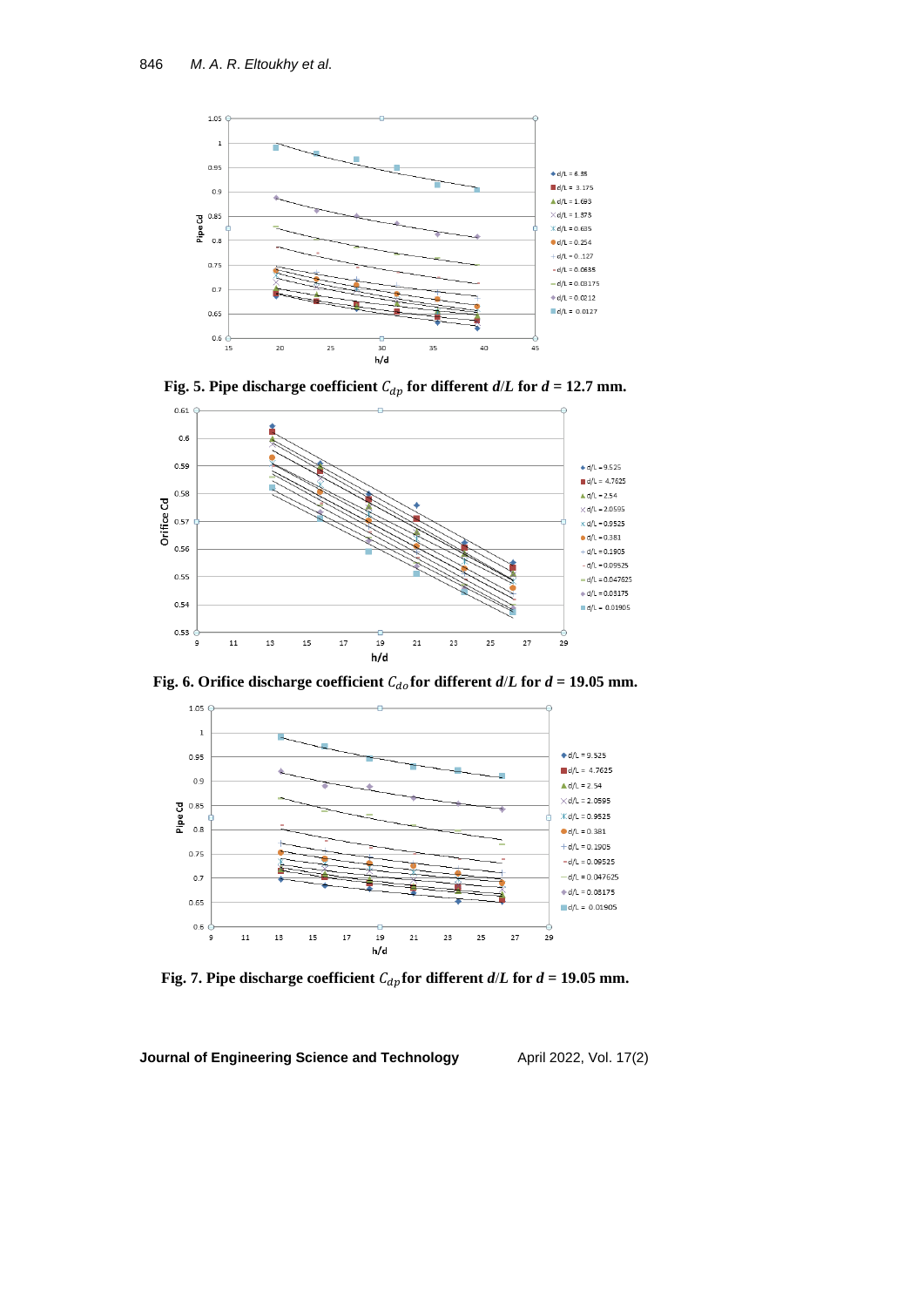





**Fig.** 6. Orifice discharge coefficient  $C_{d0}$  for different  $d/L$  for  $d = 19.05$  mm.



**Fig. 7.** Pipe discharge coefficient  $C_{dp}$  for different  $d/L$  for  $d = 19.05$  mm.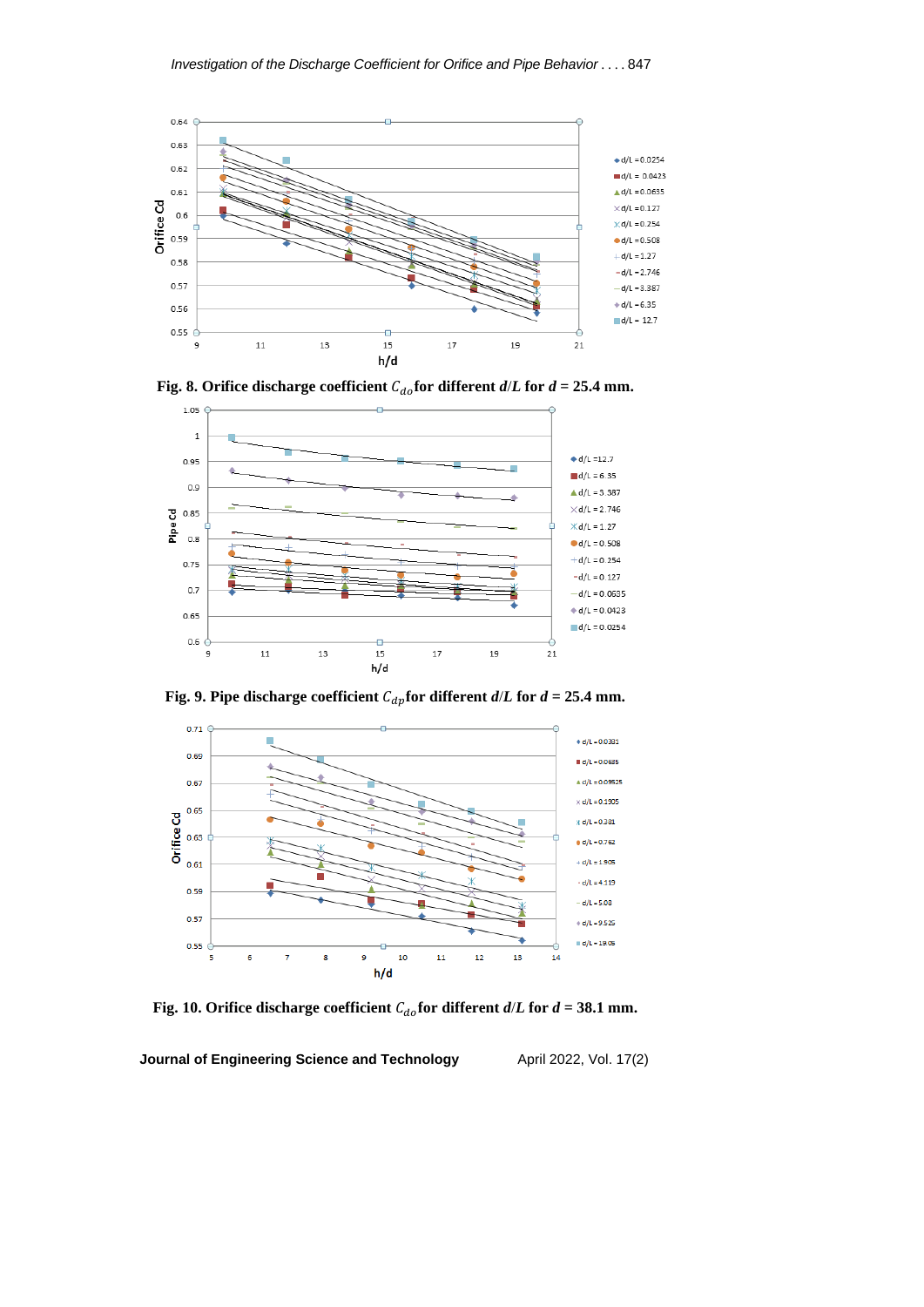

**Fig.** 8. Orifice discharge coefficient  $C_{do}$  for different  $d/L$  for  $d = 25.4$  mm.



**Fig.** 9. Pipe discharge coefficient  $C_{dp}$  for different  $d/L$  for  $d = 25.4$  mm.



**Fig. 10. Orifice discharge coefficient**  $C_{do}$  **for different**  $d/L$  **for**  $d = 38.1$  **mm.**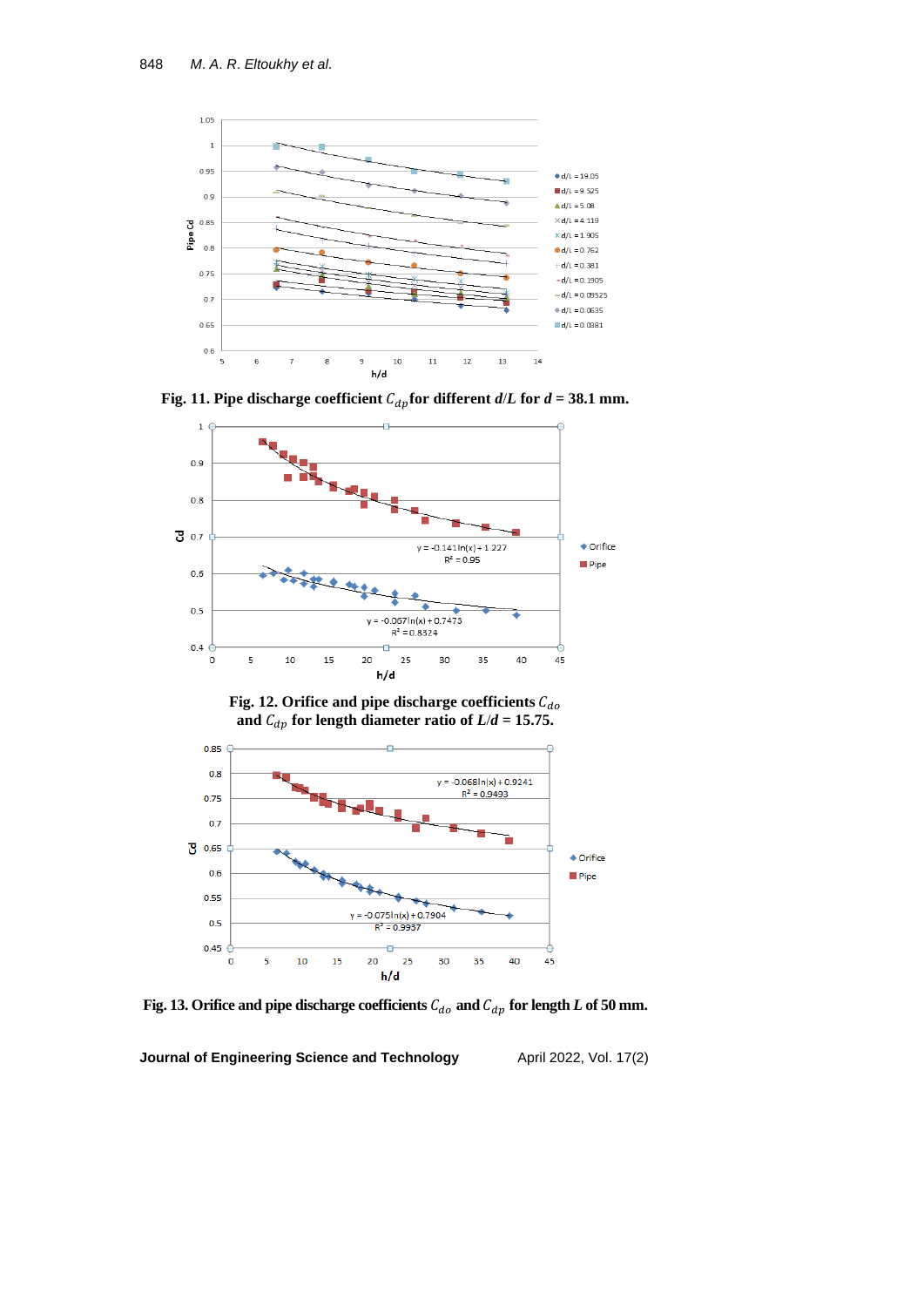

**Fig.** 11. Pipe discharge coefficient  $C_{dp}$  for different  $d/L$  for  $d = 38.1$  mm.







Fig. 13. Orifice and pipe discharge coefficients  $\mathcal{C}_{do}$  and  $\mathcal{C}_{dp}$  for length  $L$  of 50 mm.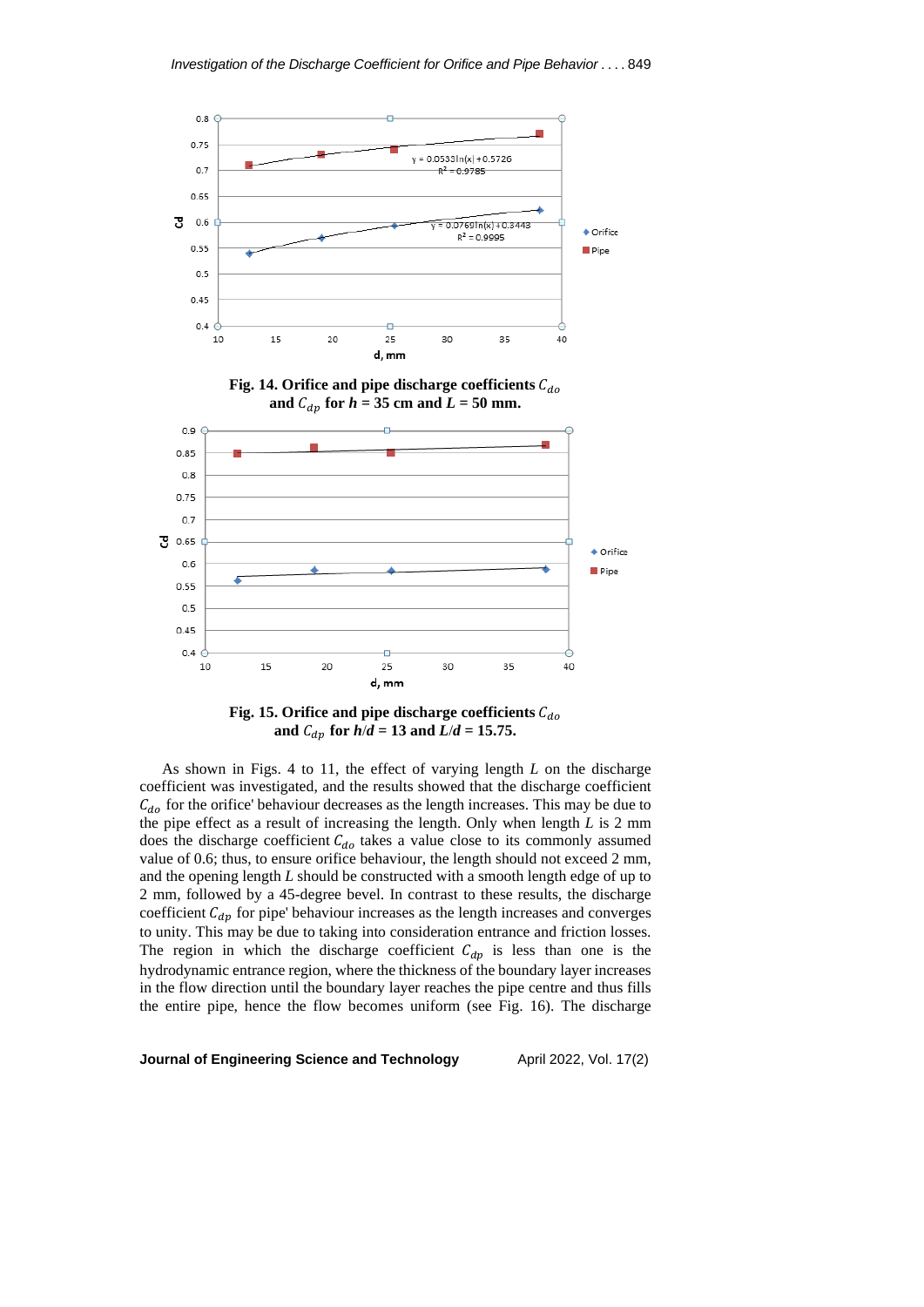

**Fig.** 15. Orifice and pipe discharge coefficients  $C_{d0}$ **and**  $C_{dp}$  for  $h/d = 13$  **and**  $L/d = 15.75$ .

As shown in Figs. 4 to 11, the effect of varying length *L* on the discharge coefficient was investigated, and the results showed that the discharge coefficient  $C_{do}$  for the orifice' behaviour decreases as the length increases. This may be due to the pipe effect as a result of increasing the length. Only when length *L* is 2 mm does the discharge coefficient  $C_{do}$  takes a value close to its commonly assumed value of 0.6; thus, to ensure orifice behaviour, the length should not exceed 2 mm, and the opening length *L* should be constructed with a smooth length edge of up to 2 mm, followed by a 45-degree bevel. In contrast to these results, the discharge coefficient  $C_{dp}$  for pipe' behaviour increases as the length increases and converges to unity. This may be due to taking into consideration entrance and friction losses. The region in which the discharge coefficient  $C_{dp}$  is less than one is the hydrodynamic entrance region, where the thickness of the boundary layer increases in the flow direction until the boundary layer reaches the pipe centre and thus fills the entire pipe, hence the flow becomes uniform (see Fig. 16). The discharge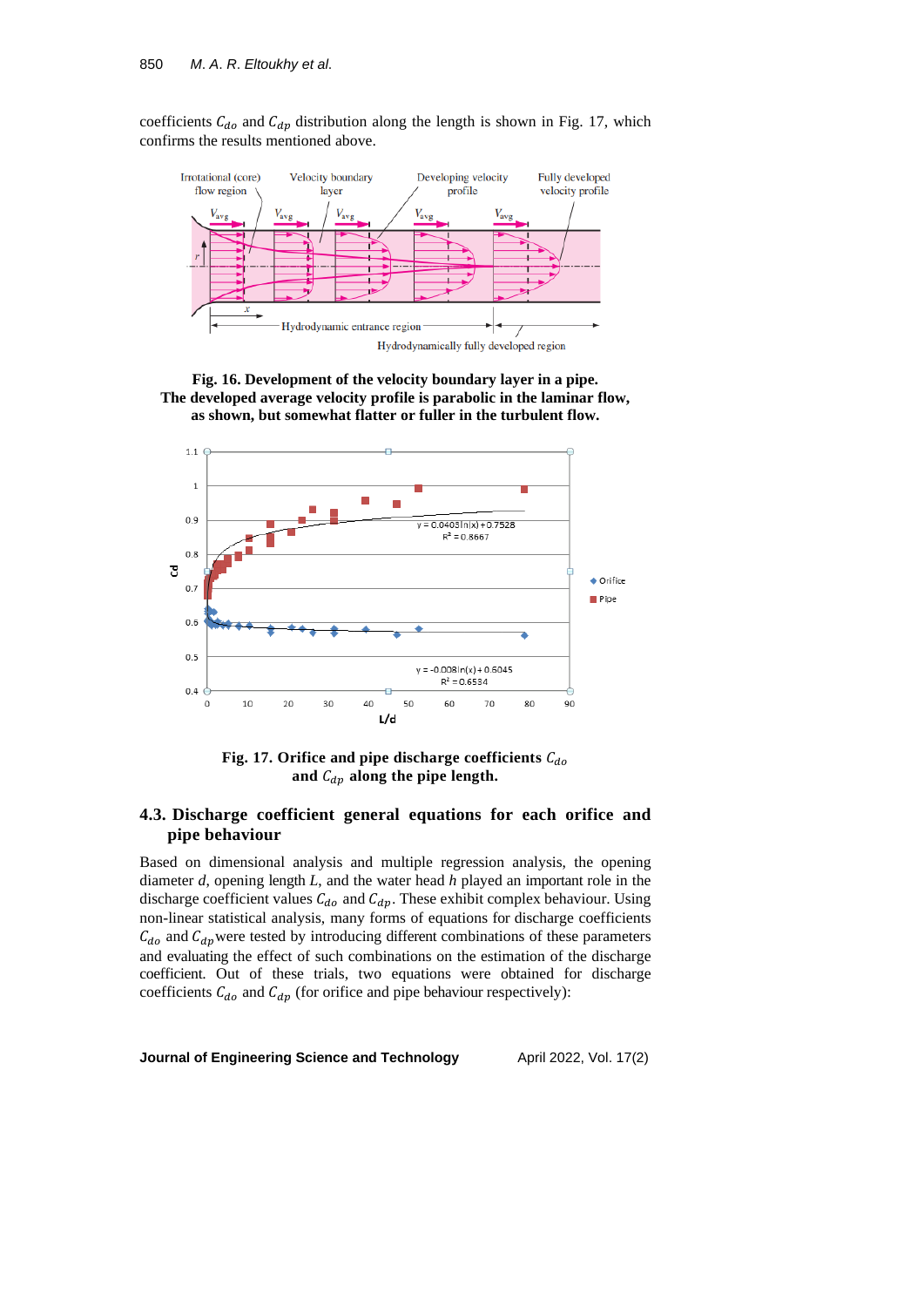coefficients  $C_{d\rho}$  and  $C_{dp}$  distribution along the length is shown in Fig. 17, which confirms the results mentioned above.



**Fig. 16. Development of the velocity boundary layer in a pipe. The developed average velocity profile is parabolic in the laminar flow, as shown, but somewhat flatter or fuller in the turbulent flow.**



**Fig. 17. Orifice and pipe discharge coefficients** and  $C_{dp}$  along the pipe length.

# **4.3. Discharge coefficient general equations for each orifice and pipe behaviour**

Based on dimensional analysis and multiple regression analysis, the opening diameter *d*, opening length *L*, and the water head *h* played an important role in the discharge coefficient values  $C_{do}$  and  $C_{dp}$ . These exhibit complex behaviour. Using non-linear statistical analysis, many forms of equations for discharge coefficients  $C_{do}$  and  $C_{dp}$  were tested by introducing different combinations of these parameters and evaluating the effect of such combinations on the estimation of the discharge coefficient. Out of these trials, two equations were obtained for discharge coefficients  $C_{d\rho}$  and  $C_{dp}$  (for orifice and pipe behaviour respectively):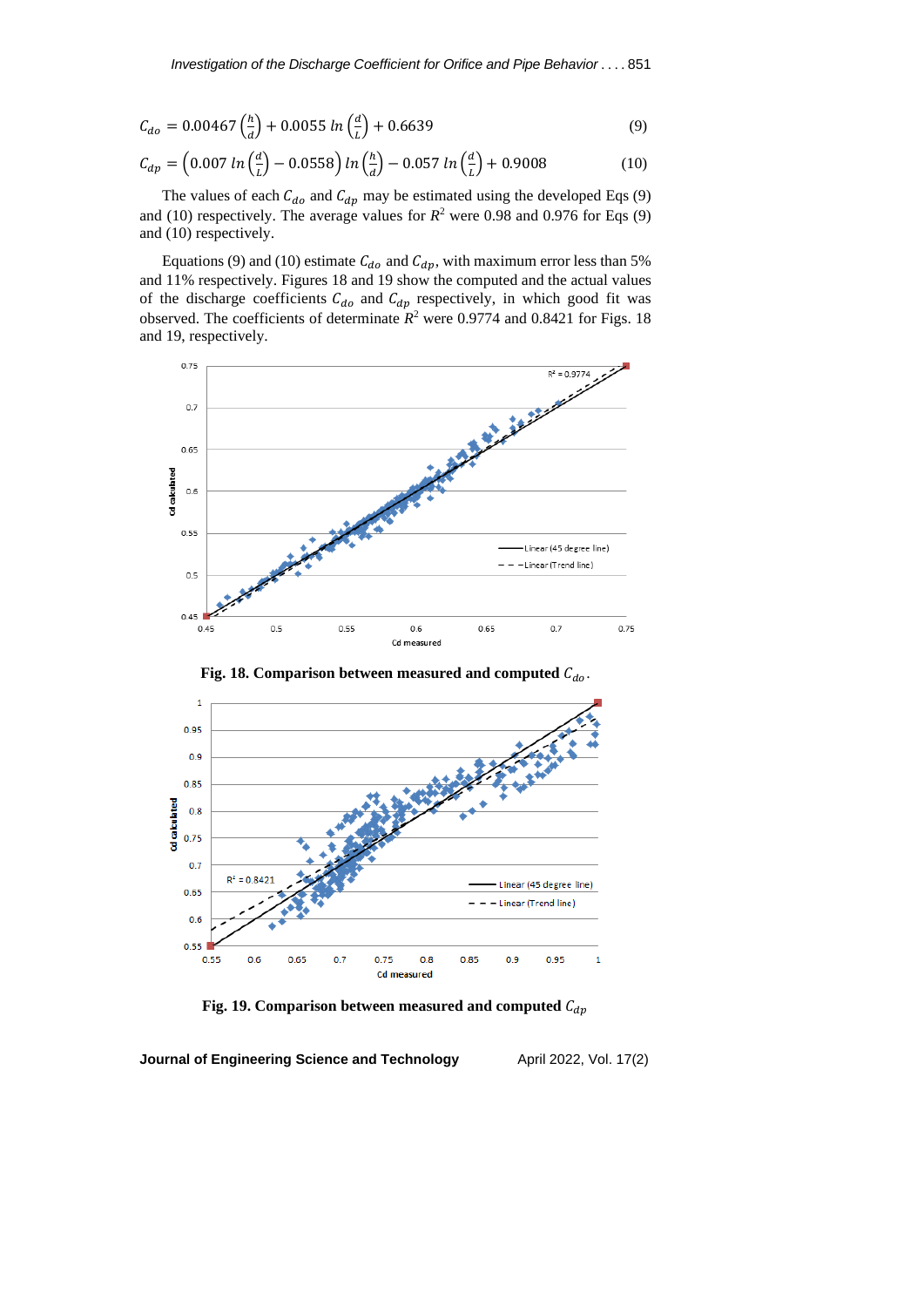$$
C_{do} = 0.00467 \left(\frac{h}{d}\right) + 0.0055 \ln\left(\frac{d}{L}\right) + 0.6639\tag{9}
$$

$$
C_{dp} = \left(0.007 \ln\left(\frac{d}{L}\right) - 0.0558\right) \ln\left(\frac{h}{d}\right) - 0.057 \ln\left(\frac{d}{L}\right) + 0.9008\tag{10}
$$

The values of each  $C_{d\rho}$  and  $C_{dp}$  may be estimated using the developed Eqs (9) and (10) respectively. The average values for  $R^2$  were 0.98 and 0.976 for Eqs (9) and (10) respectively.

Equations (9) and (10) estimate  $C_{do}$  and  $C_{dp}$ , with maximum error less than 5% and 11% respectively. Figures 18 and 19 show the computed and the actual values of the discharge coefficients  $C_{do}$  and  $C_{dp}$  respectively, in which good fit was observed. The coefficients of determinate  $R^2$  were 0.9774 and 0.8421 for Figs. 18 and 19, respectively.





**Fig. 18.** Comparison between measured and computed  $C_{do}$ .

**Fig. 19.** Comparison between measured and computed  $C_{dp}$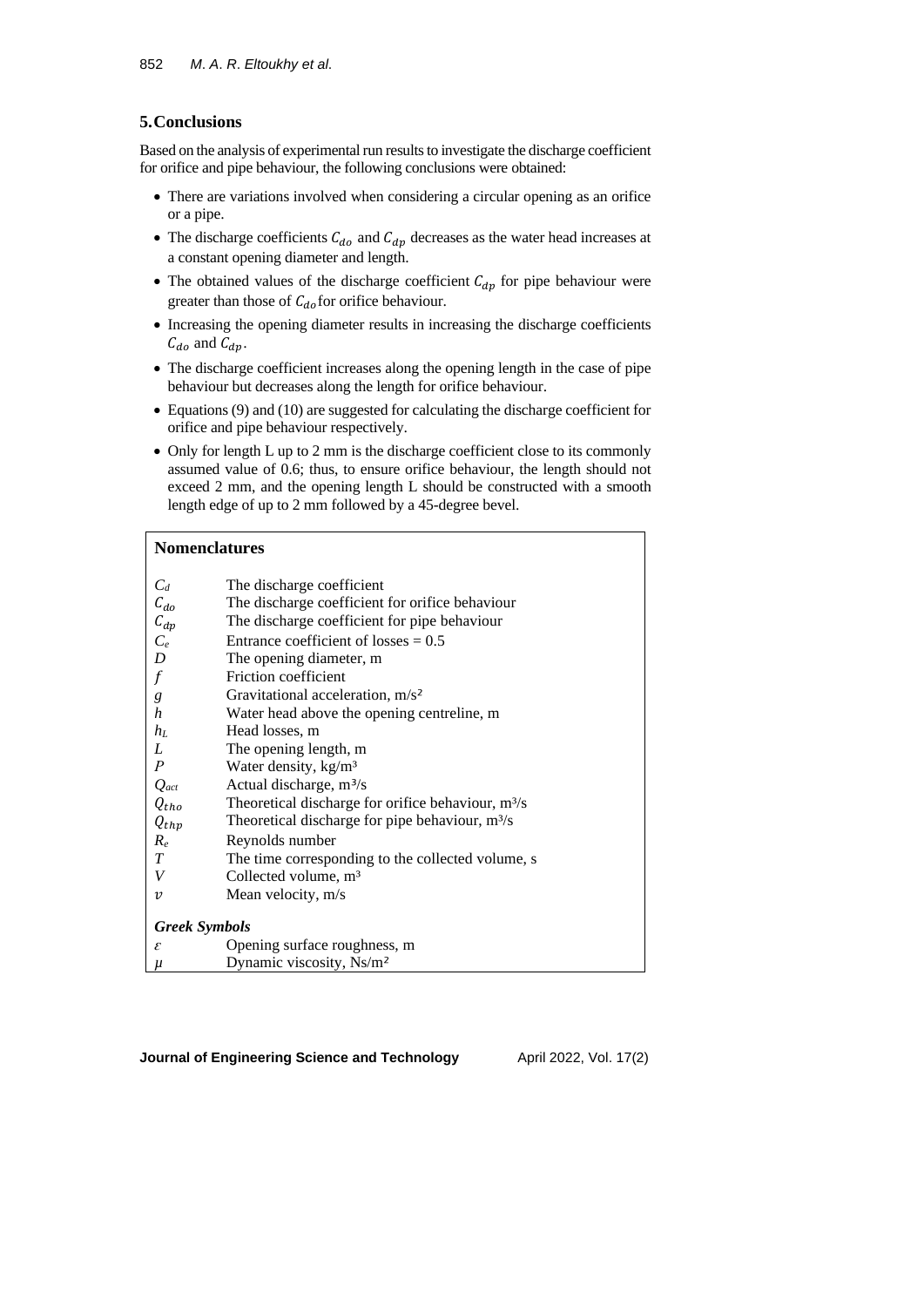## **5.Conclusions**

Based on the analysis of experimental run results to investigate the discharge coefficient for orifice and pipe behaviour, the following conclusions were obtained:

- There are variations involved when considering a circular opening as an orifice or a pipe.
- The discharge coefficients  $C_{d\rho}$  and  $C_{dp}$  decreases as the water head increases at a constant opening diameter and length.
- The obtained values of the discharge coefficient  $C_{dp}$  for pipe behaviour were greater than those of  $C_{do}$  for orifice behaviour.
- Increasing the opening diameter results in increasing the discharge coefficients  $C_{do}$  and  $C_{dp}$ .
- The discharge coefficient increases along the opening length in the case of pipe behaviour but decreases along the length for orifice behaviour.
- Equations (9) and (10) are suggested for calculating the discharge coefficient for orifice and pipe behaviour respectively.
- Only for length L up to 2 mm is the discharge coefficient close to its commonly assumed value of 0.6; thus, to ensure orifice behaviour, the length should not exceed 2 mm, and the opening length L should be constructed with a smooth length edge of up to 2 mm followed by a 45-degree bevel.

## **Nomenclatures**

| $C_d$                | The discharge coefficient                            |  |  |  |  |  |
|----------------------|------------------------------------------------------|--|--|--|--|--|
| $\mathcal{C}_{do}$   | The discharge coefficient for orifice behaviour      |  |  |  |  |  |
| $C_{dp}$             | The discharge coefficient for pipe behaviour         |  |  |  |  |  |
| $C_e$                | Entrance coefficient of losses $= 0.5$               |  |  |  |  |  |
| D                    | The opening diameter, m                              |  |  |  |  |  |
| $\mathbf f$          | Friction coefficient                                 |  |  |  |  |  |
| g                    | Gravitational acceleration, $m/s^2$                  |  |  |  |  |  |
| h                    | Water head above the opening centreline, m           |  |  |  |  |  |
| $h_L$                | Head losses, m                                       |  |  |  |  |  |
| L                    | The opening length, m                                |  |  |  |  |  |
| $\boldsymbol{P}$     | Water density, $\text{kg/m}^3$                       |  |  |  |  |  |
| $Q_{act}$            | Actual discharge, m <sup>3</sup> /s                  |  |  |  |  |  |
| $Q_{tho}$            | Theoretical discharge for orifice behaviour, $m^3/s$ |  |  |  |  |  |
| $Q_{thp}$            | Theoretical discharge for pipe behaviour, $m^3/s$    |  |  |  |  |  |
| $R_e$                | Reynolds number                                      |  |  |  |  |  |
| T                    | The time corresponding to the collected volume, s    |  |  |  |  |  |
| V                    | Collected volume, m <sup>3</sup>                     |  |  |  |  |  |
| ν                    | Mean velocity, m/s                                   |  |  |  |  |  |
|                      |                                                      |  |  |  |  |  |
| <b>Greek Symbols</b> |                                                      |  |  |  |  |  |
| ε                    | Opening surface roughness, m                         |  |  |  |  |  |
| $\mu$                | Dynamic viscosity, Ns/m <sup>2</sup>                 |  |  |  |  |  |